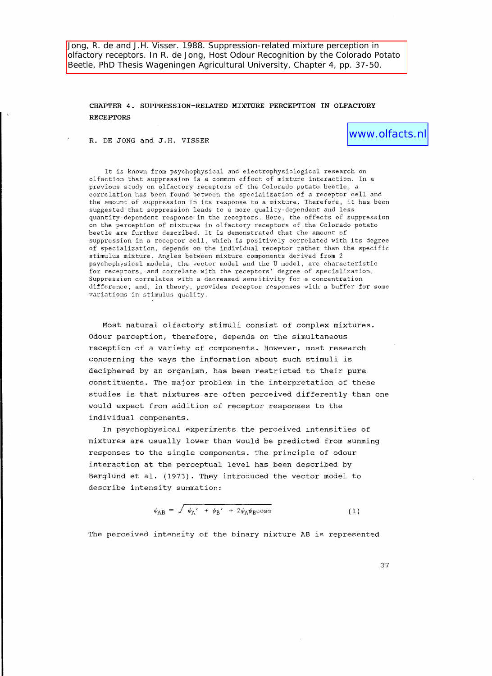Jong, R. de and J.H. Visser. 1988. Suppression-related mixture perception in olfactory receptors. In R. de Jong, Host Odour Recognition by the Colorado Potato Beetle, PhD Thesis Wageningen Agricultural University, Chapter 4, pp. 37-50.

# CHAPTER **4.** SUPPRESSION-RELATED MIXTURE PERCEPTION **IN** OLFACTORY **RECEPTORS**

R. DE JONG and J.H. VISSER

www.olfacts.nl

It is known from psychophysical and electrophysiological research on olfaction that suppression is a common effect of mixture interaction. In a previous study on olfactory receptors of the Colorado potato beetle, a correlation has been found between the specialization of a receptor cell and the amount of suppression in its response to a mixture. Therefore, it has becn suggested that suppression leads to a more quality-dependent and less quantity-dependent response in the receptors. Here, the effects of suppression on the perception of mixtures in olfactory receptors of the Colorado potato beetle are further described. It is demonstrated that the amount of suppression in a receptor cell, which is positively correlated with its degree of specialization, depends on the individual receptor rather than the specific stimulus mixture. Angles between mixture components derived from 2 psychophysical models, the vector model and the U model, are characteristic for receptors, and correlate with the receptors' degree of specialization. Suppression correlates with a decreased sensitivity for a concentration difference, and, in theory, provides receptor responses with a buffer for some variations in stimulus quality.

Most natural olfactory stimuli consist of complex mixtures. Odour perception, therefore, depends on the simultaneous reception of a variety of components. However, most research concerning the ways the information about such stimuli is deciphered by an organism, has been restricted to their pure constituents. The major problem in the interpretation of these studies is that mixtures are often perceived differently than one would expect from addition of receptor responses to the individual components.

In psychophysical experiments the perceived intensities of mixtures are usually lower than would be predicted from summing responses to the single components. The principle of odour interaction at the perceptual level has been described by Berglund et al. (1973). They introduced the vector model to describe intensity summation:

$$
\psi_{AB} = \sqrt{\psi_A^2 + \psi_B^2 + 2\psi_A\psi_B \cos\alpha} \tag{1}
$$

The perceived intensity of the binary mixture AB is represented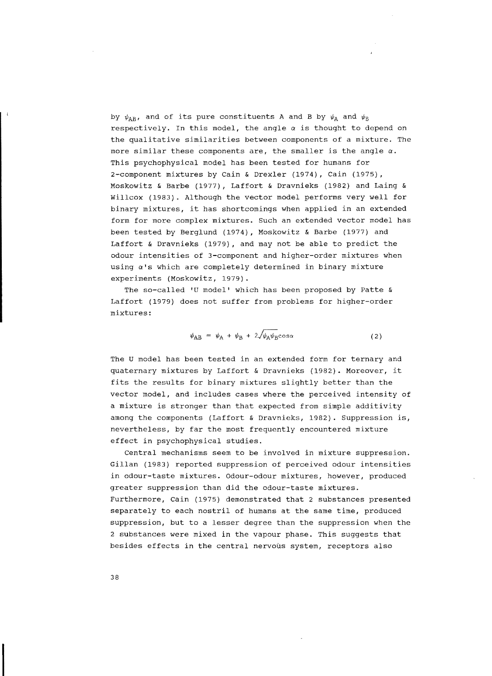by  $\psi_{AB}$ , and of its pure constituents A and B by  $\psi_A$  and  $\psi_B$ respectively. In this model, the angle  $\alpha$  is thought to depend on the qualitative similarities between components of a mixture. The more similar these components are, the smaller is the angle  $\alpha$ . This psychophysical model has been tested for humans for 2-component mixtures by Cain & Drexler (1974), Cain (1975), Moskowitz & Barbe (1977), Laffort & Dravnieks (1982) and Laing & Willcox (1983). Although the vector model performs very well for binary mixtures, it has shortcomings when applied in an extended form for more complex mixtures. Such an extended vector model has been tested by Berglund (1974), Moskowitz & Barbe (1977) and Laffort & Dravnieks (1979), and may not be able to predict the odour intensities of 3-component and higher-order mixtures when using  $\alpha$ 's which are completely determined in binary mixture experiments (Moskowitz, 1979).

The so-called 'U model' which has been proposed by Patte & Laffort (1979) does not suffer from problems for higher-order mixtures:

$$
\psi_{AB} = \psi_A + \psi_B + 2\sqrt{\psi_A \psi_B} \cos \alpha \tag{2}
$$

The U model has been tested in an extended form for ternary and quaternary mixtures by Laffort & Dravnieks (1982). Moreover, it fits the results for binary mixtures slightly better than the vector model, and includes cases where the perceived intensity of a mixture is stronger than that expected from simple additivity among the components (Laffort & Dravnieks, 1982). Suppression is, nevertheless, by far the most frequently encountered mixture effect in psychophysical studies.

Central mechanisms seem to be involved in mixture suppression. Gillan (1983) reported suppression of perceived odour intensities in odour-taste mixtures. Odour-odour mixtures, however, produced greater suppression than did the odour-taste mixtures. Furthermore, cain (1975) demonstrated that 2 substances presented separately to each nostril of humans at the same time, produced suppression, but to a lesser degree than the suppression when the 2 substances were mixed in the vapour phase. This suggests that besides effects in the central nervous system, receptors also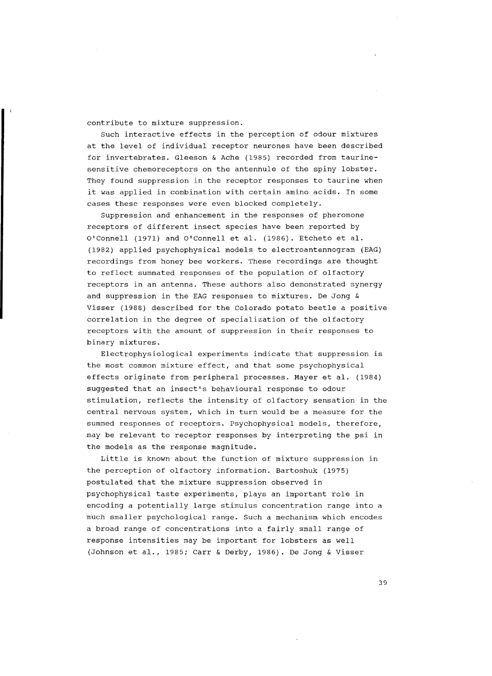contribute to mixture suppression.

Such interactive effects in the perception of odour mixtures at the level of individual receptor neurones have been described for invertebrates. Gleeson & Ache (1985) recorded from taurinesensitive chemoreceptors on the antennule of the spiny lobster. They found suppression in the receptor responses to taurine when it was applied in combination with certain amino acids. In some cases these responses were even blocked completely.

Suppression and enhancement in the responses of pheromone receptors of different insect species have been reported by O'Connell (1971) and O'Connell et al. (1986). Etcheto et al. (1982) applied psychophysical models to electroantennogram (EAG) recordings from honey bee workers. These recordings are thought to reflect summated responses of the population of olfactory receptors in an antenna. These authors also demonstrated synergy and suppression in the EAG responses to mixtures. De Jong & Visser (1988) described for the Colorado potato beetle a positive correlation in the degree of specialization of the olfactory receptors with the amount of suppression in their responses to binary mixtures.

Electrophysiological experiments indicate that suppression is the most common mixture effect, and that some psychophysical effects originate from peripheral processes. Mayer et al. (1984) suggested that an insect's behavioural response to odour stimulation, reflects the intensity of olfactory sensation in the central nervous system, which in turn would be a measure for the summed responses of receptors. Psychophysical models, therefore, may be relevant to receptor responses by interpreting the psi in the models as the response magnitude.

Little is known about the function of mixture suppression in the perception of olfactory information. Bartoshuk (1975) postulated that the mixture suppression observed in psychophysical taste experiments, plays an important role in encoding a potentially large stimulus concentration range into a much smaller psychological range. Such a mechanism which encodes a broad range of concentrations into a fairly small range of response intensities may be important for lobsters as well (Johnson et al., 1985; Carr & Derby, 1986). De Jong & Visser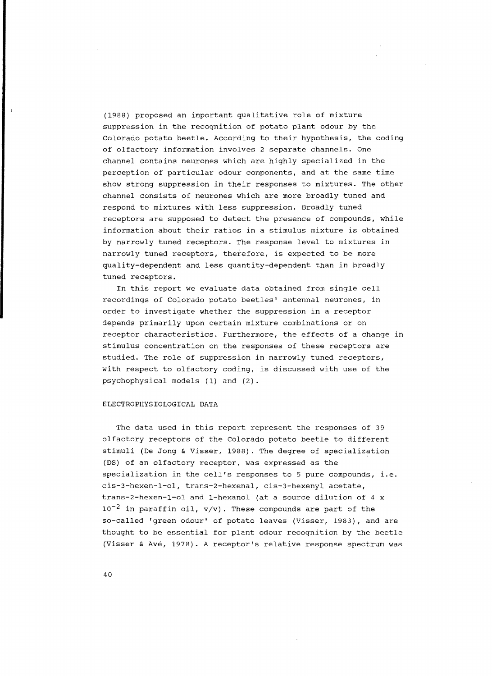(1988) proposed an important qualitative role of mixture suppression in the recognition of potato plant odour by the Colorado potato beetle. According to their hypothesis, the coding of olfactory information involves 2 separate channels. One channel contains neurones which are highly specialized in the perception of particular odour components, and at the same time show strong suppression in their responses to mixtures. The other channel consists of neurones which are more broadly tuned and respond to mixtures with less suppression. Broadly tuned receptors are supposed to detect the presence of compounds, while information about their ratios in a stimulus mixture is obtained by narrowly tuned receptors. The response level to mixtures in narrowly tuned receptors, therefore, is expected to be more quality-dependent and less quantity-dependent than in broadly tuned receptors.

In this report we evaluate data obtained from single cell recordings of Colorado potato beetles' antennal neurones, in order to investigate whether the suppression in a receptor depends primarily upon certain mixture combinations or on receptor characteristics. Furthermore, the effects of a change in stimulus concentration on the responses of these receptors are studied. The role of suppression in narrowly tuned receptors, with respect to olfactory coding, is discussed with use of the psychophysical models (1) and (2).

# ELECTROPHYSIOLOGICAL DATA

The data used in this report represent the responses of 39 olfactory receptors of the Colorado potato beetle to different stimuli (De Jong & Visser, 1988). The degree of specialization (DS) of an olfactory receptor, was expressed as the specialization in the cell's responses to 5 pure compounds, i.e. cis-3-hexen-1-ol, trans-2-hexenal, cis-3-hexenyl acetate, trans-2-hexen-1-o1 and 1-hexanol (at a source dilution of 4 x  $10^{-2}$  in paraffin oil, v/v). These compounds are part of the so-called 'green odour' of potato leaves (Visser, 1983), and are thought to be essential for plant odour recognition by the beetle (Visser & Ave, 1978). A receptor's relative response spectrum was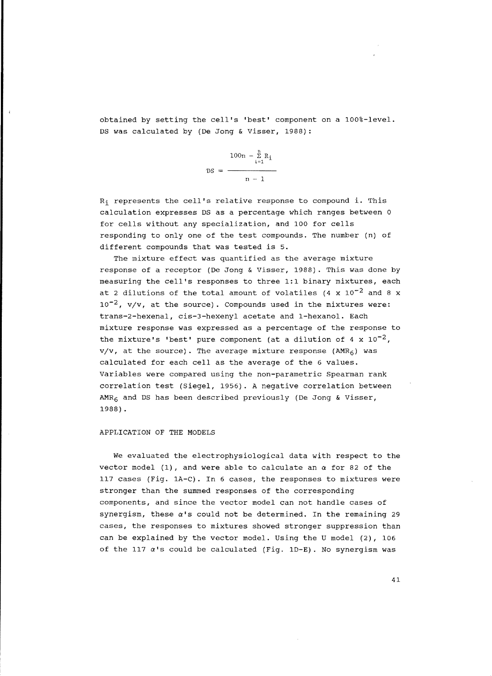obtained by setting the cell's 'best' component on a 100%-level. DS was calculated by (De Jong & visser, 1988):

$$
DS = \frac{100n - \sum_{i=1}^{n} R_i}{n - 1}
$$

Ri represents the cell's relative response to compound i. This calculation expresses DS as a percentage which ranges between 0 for cells without any specialization, and 100 for cells responding to only one of the test compounds. The number (n) of different compounds that was tested is 5.

The mixture effect was quantified as the average mixture response of a receptor (De Jong & visser, 1988). This was done by measuring the cell's responses to three 1:1 binary mixtures, each at 2 dilutions of the total amount of volatiles  $(4 \times 10^{-2}$  and 8 x  $10^{-2}$ , v/v, at the source). Compounds used in the mixtures were: trans-2-hexenal, cis-3-hexenyl acetate and 1-hexanol. Each mixture response was expressed as a percentage of the response to the mixture's 'best' pure component (at a dilution of 4 x  $10^{-2}$ ,  $v/v$ , at the source). The average mixture response (AMR6) was calculated for each cell as the average of the 6 values. variables were compared using the non-parametric Spearman rank correlation test (Siegel, 1956). A negative correlation between  $AMR<sub>6</sub>$  and DS has been described previously (De Jong & Visser, 1988) •

# APPLICATION OF THE MODELS

We evaluated the electrophysiological data with respect to the vector model (1), and were able to calculate an  $\alpha$  for 82 of the 117 cases (Fig. lA-C). In 6 cases, the responses to mixtures were stronger than the summed responses of the corresponding components, and since the vector model can not handle cases of synergism, these  $\alpha$ 's could not be determined. In the remaining 29 cases, the responses to mixtures showed stronger suppression than can be explained by the vector model. Using the U model (2), 106 of the 117 *a's* could be calculated (Fig. 1D-E). No synergism was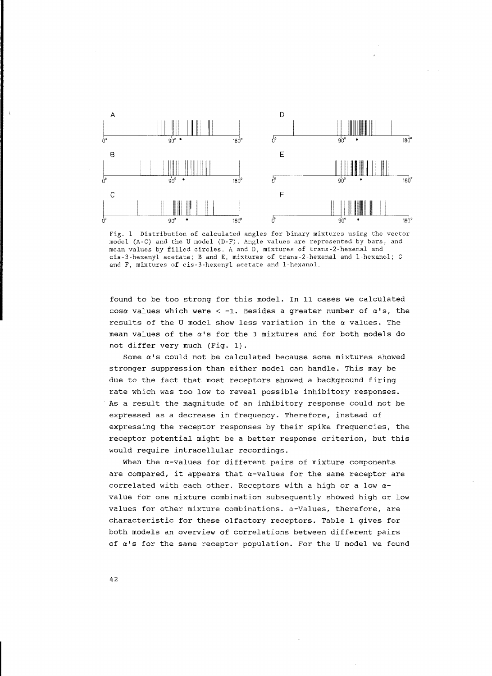



found to be too strong for this model. In 11 cases we calculated cosa values which were < -1. Besides a greater number of  $\alpha'$ s, the results of the U model show less variation in the  $\alpha$  values. The mean values of the  $\alpha$ 's for the 3 mixtures and for both models do not differ very much (Fig. 1).

Some  $\alpha$ 's could not be calculated because some mixtures showed stronger suppression than either model can handle. This may be due to the fact that most receptors showed a background firing rate which was too low to reveal possible inhibitory responses. As a result the magnitude of an inhibitory response could not be expressed as a decrease in frequency. Therefore, instead of expressing the receptor responses by their spike frequencies, the receptor potential might be a better response criterion, but this would require intracellular recordings.

When the  $\alpha$ -values for different pairs of mixture components are compared, it appears that  $\alpha$ -values for the same receptor are correlated with each other. Receptors with a high or a low *a*value for one mixture combination subsequently showed high or low values for other mixture combinations.  $\alpha$ -Values, therefore, are characteristic for these olfactory receptors. Table 1 gives for both models an overview of correlations between different pairs of  $\alpha$ 's for the same receptor population. For the U model we found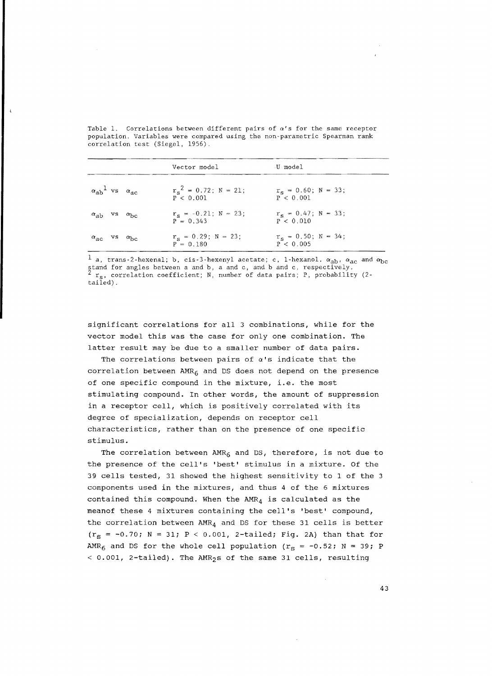|                                                | Vector model                                | U model                             |
|------------------------------------------------|---------------------------------------------|-------------------------------------|
| $\alpha_{ab}^{\phantom{ab}1}$ vs $\alpha_{ac}$ | $r_c^2 = 0.72$ ; N = 21;<br>P < 0.001       | $r_c = 0.60$ ; N = 33;<br>P < 0.001 |
| $\alpha_{ab}$ vs $\alpha_{bc}$                 | $r_s = -0.21$ ; N = 23;<br>$P = 0.343$      | $r_c = 0.47$ ; N = 33;<br>P < 0.010 |
| $\alpha_{\rm ac}$ vs $\alpha_{\rm bc}$         | $r_{\rm g} = 0.29$ ; N = 23;<br>$P = 0.180$ | $r_s = 0.50; N = 34;$<br>P < 0.005  |

Table 1. Correlations between different pairs of  $\alpha'$ s for the same receptor population. Variables were compared using the non-parametric Spearman rank correlation test (Siegel, 1956).

1 a, trans-2-hexenal; b, cis-3-hexenyl acetate; c, 1-hexanol.  $\alpha_{ab}$ ,  $\alpha_{ac}$  and  $\alpha_{bc}$ stand for angles between a and b, a and c, and b and c, respectively.  $2 r<sub>s</sub>$ , correlation coefficient; N, number of data pairs; P, probability (2) tailed) ,

significant correlations for all 3 combinations, while for the vector model this was the case for only one combination. The latter result may be due to a smaller number of data pairs.

The correlations between pairs of  $\alpha$ 's indicate that the correlation between  $AMR<sub>6</sub>$  and DS does not depend on the presence of one specific compound in the mixture, i.e. the most stimulating compound. In other words, the amount of suppression in a receptor cell, which is positively correlated with its degree of specialization, depends on receptor cell characteristics, rather than on the presence of one specific stimulus.

The correlation between AMR<sub>6</sub> and DS, therefore, is not due to the presence of the cell's 'best' stimulus in a mixture. Of the 39 cells tested, 31 showed the highest sensitivity to 1 of the 3 components used in the mixtures, and thus 4 of the 6 mixtures contained this compound. When the  $AMR<sub>4</sub>$  is calculated as the meanof these 4 mixtures containing the cell's 'best' compound, the correlation between  $AMR<sub>4</sub>$  and DS for these 31 cells is better  $(r_S = -0.70; N = 31; P < 0.001, 2-tailed; Fig. 2A) than that for$ AMR<sub>6</sub> and DS for the whole cell population ( $r_S = -0.52$ ; N = 39; P  $<$  0.001, 2-tailed). The AMR<sub>2</sub>s of the same 31 cells, resulting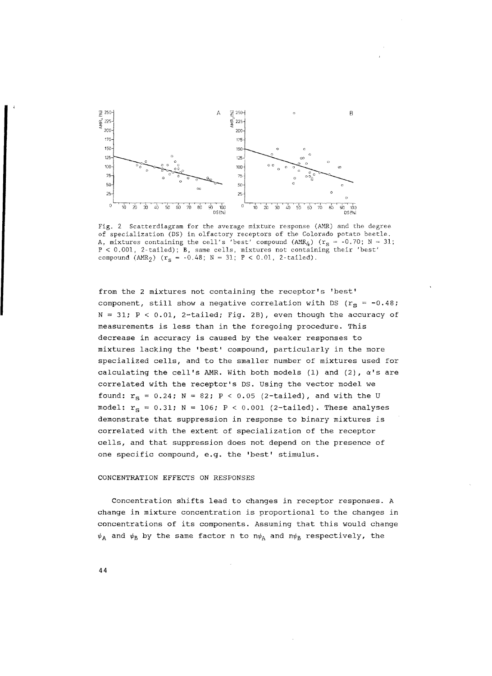

Fig. 2 Scatterdiagram for the average mixture response (AMR) and the degree of specialization (DS) in olfactory receptors of the Colorado potato beetle. A, mixtures containing the cell's 'best' compound  $(AMR<sub>4</sub>)$   $(r<sub>S</sub> = -0.70; N = 31;$ P < 0.001, 2-tailed); B, same cells, mixtures not containing their 'best' compound  $(AMR_2)$   $(r_s = -0.48; N = 31; P < 0.01, 2-tailed)$ .

from the 2 mixtures not containing the receptor's 'best' component, still show a negative correlation with DS ( $r_s = -0.48$ ;  $N = 31$ ; P < 0.01, 2-tailed; Fig. 2B), even though the accuracy of measurements is less than in the foregoing procedure. This decrease in accuracy is caused by the weaker responses to mixtures lacking the 'best' compound, particularly in the more specialized cells, and to the smaller number of mixtures used for calculating the cell's AMR. With both models (1) and (2),  $\alpha$ 's are correlated with the receptor's DS. using the vector model we found:  $r_s = 0.24$ ; N = 82; P < 0.05 (2-tailed), and with the U model:  $r_s = 0.31$ ; N = 106; P < 0.001 (2-tailed). These analyses demonstrate that suppression in response to binary mixtures is correlated with the extent of specialization of the receptor cells, and that suppression does not depend on the presence of one specific compound, e.g. the 'best' stimulus.

#### CONCENTRATION EFFECTS ON RESPONSES

Concentration shifts lead to changes in receptor responses. A change in mixture concentration is proportional to the changes in concentrations of its components. Assuming that this would change  $\psi_A$  and  $\psi_B$  by the same factor n to n $\psi_A$  and n $\psi_B$  respectively, the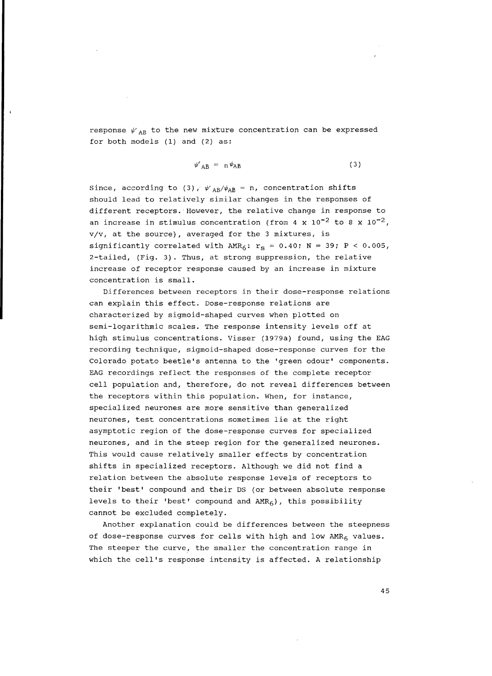response  $\psi'_{AR}$  to the new mixture concentration can be expressed for both models (1) and (2) as:

$$
\psi'_{AB} = n \psi_{AB} \tag{3}
$$

Since, according to (3),  $\psi_{AB}/\psi_{AB} = n$ , concentration shifts should lead to relatively similar changes in the responses of different receptors. However, the relative change in response to an increase in stimulus concentration (from 4 x  $10^{-2}$  to 8 x  $10^{-2}$ , v/v, at the source), averaged for the 3 mixtures, is significantly correlated with AMR<sub>6</sub>:  $r_s = 0.40$ ; N = 39; P < 0.005, 2-tailed, (Fig. 3). Thus, at strong suppression, the relative increase of receptor response caused by an increase in mixture concentration is small.

Differences between receptors in their dose-response relations can explain this effect. Dose-response relations are characterized by sigmoid-shaped curves when plotted on semi-logarithmic scales. The response intensity levels off at high stimulus concentrations. Visser (1979a) found, using the EAG recording technique, sigmoid-shaped dose-response curves for the Colorado potato beetle's antenna to the 'green odour' components. EAG recordings reflect the responses of the complete receptor cell population and, therefore, do not reveal differences between the receptors within this population. When, for instance, specialized neurones are more sensitive than generalized neurones, test concentrations sometimes lie at the right asymptotic region of the dose-response curves for specialized neurones, and in the steep region for the generalized neurones. This would cause relatively smaller effects by concentration shifts in specialized receptors. Although we did not find a relation between the absolute response levels of receptors to their 'best' compound and their DS (or between absolute response levels to their 'best' compound and  $AMR<sub>6</sub>$ ), this possibility cannot be excluded completely.

Another explanation could be differences between the steepness of dose-response curves for cells with high and low  $AMR<sub>6</sub>$  values. The steeper the curve, the smaller the concentration range in which the cell's response intensity is affected. A relationship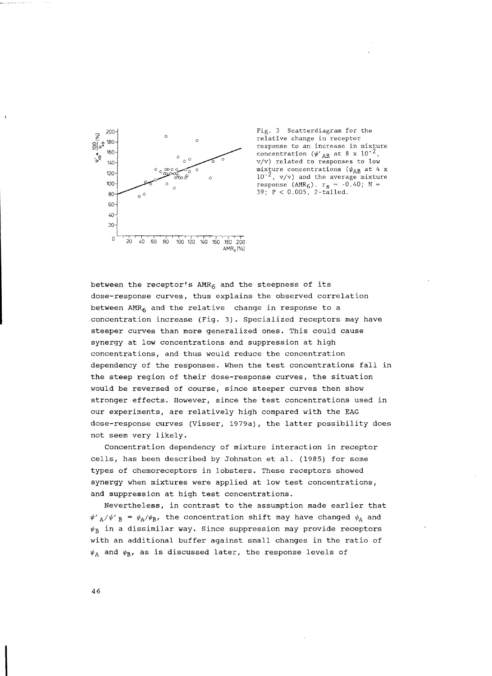

Fig. 3 Scatterdiagram for the relative change in receptor response to an increase in mixture<br>concentration ( $\psi'_{AB}$  at 8 x 10<sup>-2</sup>,  $\sigma$  0 mixture concentrations ( $\psi_{AB}$  at 4 x<br> $\sigma$  0 0 0 0 0 0  $10^{-2}$  y/y) and the average mixture

between the receptor's  $AMR_6$  and the steepness of its dose-response curves, thus explains the observed correlation between  $AMR<sub>6</sub>$  and the relative change in response to a concentration increase (Fig. 3). Specialized receptors may have steeper curves than more generalized ones. This could cause synergy at low concentrations and suppression at high concentrations, and thus would reduce the concentration dependency of the responses. When the test concentrations fall in the steep region of their dose-response curves, the situation would be reversed of course, since steeper curves then show stronger effects. However, since the test concentrations used in our experiments, are relatively high compared with the EAG dose-response curves (Visser, 1979a), the latter possibility does not seem very likely.

Concentration dependency of mixture interaction in receptor cells, has been described by Johnston et al. (1985) for some types of chemoreceptors in lobsters. These receptors showed synergy when mixtures were applied at low test concentrations, and suppression at high test concentrations.

NeVertheless, in contrast to the assumption made earlier that  $\psi'_{A}/\psi'_{B}$  =  $\psi_{A}/\psi_{B}$ , the concentration shift may have changed  $\psi_{A}$  and  $\psi_B$  in a dissimilar way. Since suppression may provide receptors with an additional buffer against small changes in the ratio of  $\psi_A$  and  $\psi_B$ , as is discussed later, the response levels of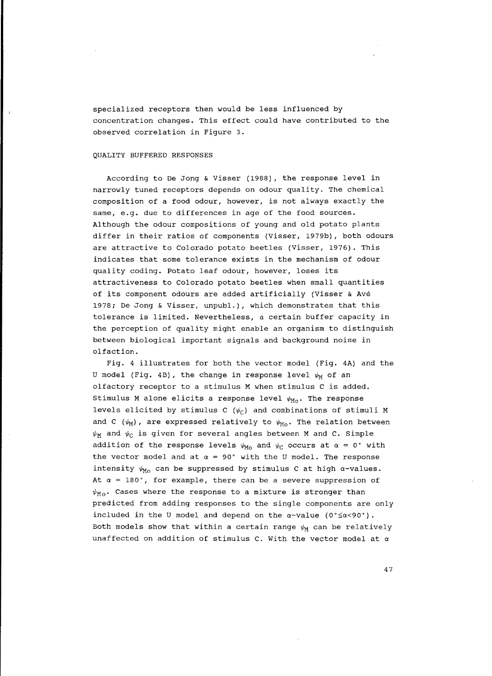specialized receptors then would be less influenced by concentration changes. This effect could have contributed to the observed correlation in Figure 3.

### QUALITY BUFFERED RESPONSES

According to De Jong & Visser (1988), the response level in narrowly tuned receptors depends on odour quality. The chemical composition of a food odour, however, is not always exactly the same, e.g. due to differences in age of the food sources. Although the odour compositions of young and old potato plants differ in their ratios of components (Visser, 1979b), both odours are attractive to Colorado potato beetles (Visser, 1976). This indicates that some tolerance exists in the mechanism of odour quality coding. Potato leaf odour, however, loses its attractiveness to Colorado potato beetles when small quantities of its component odours are added artificially (Visser & Ave 1978; De Jong & Visser, unpubl.), which demonstrates that this tolerance is limited. Nevertheless, a certain buffer capacity in the perception of quality might enable an organism to distinguish between biological important signals and background noise in olfaction.

Fig. 4 illustrates for both the vector model (Fig. 4A) and the U model (Fig. 4B), the change in response level  $\psi_M$  of an olfactory receptor to a stimulus M when stimulus C is added. Stimulus M alone elicits a response level  $\psi_{M_O}$ . The response levels elicited by stimulus C ( $\psi_C$ ) and combinations of stimuli M and C ( $\psi_M$ ), are expressed relatively to  $\psi_{M_O}$ . The relation between  $\psi_M$  and  $\psi_C$  is given for several angles between M and C. Simple addition of the response levels  $\psi_{\text{Mo}}$  and  $\psi_{\text{C}}$  occurs at  $\alpha = 0^{\circ}$  with the vector model and at  $\alpha = 90^{\circ}$  with the U model. The response intensity  $\psi_{M_O}$  can be suppressed by stimulus C at high  $\alpha$ -values. At  $\alpha$  = 180°, for example, there can be a severe suppression of  $\psi_{M_O}$ . Cases where the response to a mixture is stronger than predicted from adding responses to the single components are only included in the U model and depend on the  $\alpha$ -value (0° ≤ $\alpha$ <90°). Both models show that within a certain range  $\psi_M$  can be relatively unaffected on addition of stimulus C. With the vector model at  $\alpha$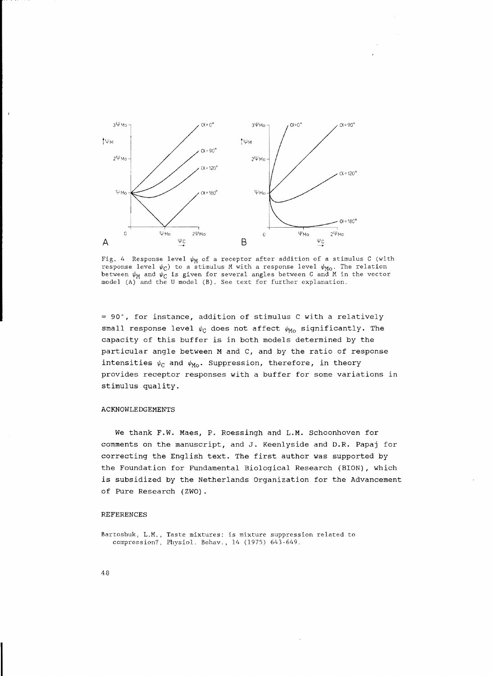

Fig. 4 Response level  $\psi_M$  of a receptor after addition of a stimulus C (with response level  $\psi_C$ ) to a stimulus M with a response level  $\psi_\text{Mo}$ . The relation between  $\psi_M$  and  $\psi_C$  is given for several angles between C and M in the vector model (A) and the U model (B). See text for further explanation.

= 90', for instance, addition of stimulus C with a relatively small response level  $\psi_C$  does not affect  $\psi_{M_O}$  significantly. The capacity of this buffer is in both models determined by the particular angle between M and C, and by the ratio of response intensities  $\psi_C$  and  $\psi_{Mo}$ . Suppression, therefore, in theory provides receptor responses with a buffer for some variations in stimulus quality.

#### ACKNOWLEDGEMENTS

We thank F.W. Maes, P. Roessingh and L.M. Schoonhoven for comments on the manuscript, and J. Keenlyside and D.R. Papaj for correcting the English text. The first author was supported by the Foundation for Fundamental Biological Research (BION), which is subsidized by the Netherlands Organization for the Advancement of Pure Research (ZWO).

### REFERENCES

Bartoshuk, L.M., Taste mixtures: is mixture suppression related to compression?, Physiol. Behav., 14 (1975) 643-649.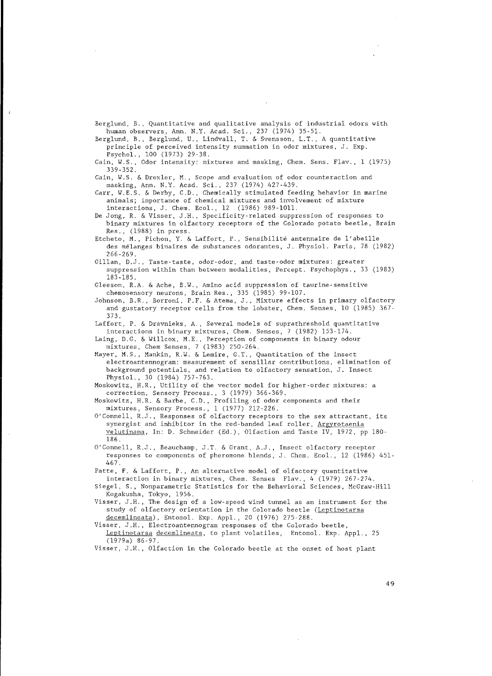Berglund, B., Quantitative and qualitative analysis of industrial odors with human observers, Ann. N.Y. Acad. Sci., 237 (1974) 35-51.

Berglund, B., Berglund, U., Lindvall, T. & Svensson, L.T., A quantitative principle of perceived intensity summation in odor mixtures, J. Exp. Psychol., 100 (1973) 29-38.

Cain, W.S., Odor intensity: mixtures and masking, Chern. Sens. Flav., 1 (1975) 339-352.

Cain, W.S. & Drexler, M., Scope and evaluation of odor counteraction and masking, Ann. N.Y. Acad. Sci., 237 (1974) 427-439.

Carr, W.E.S. & Derby, C.D., Chemically stimulated feeding behavior in marine animals; importance of chemical mixtures and involvement of mixture interactions, J. Chem. Ecol., 12 (1986) 989-1011.

De Jong, R. & Visser, J.H., Specificity-related suppression of responses to binary mixtures in olfactory receptors of the Colorado potato beetle, Brain Res., (1988) in press.

Etcheto, M., Pichon, Y. & Laffort, P., Sensibilite antennaire de l'abeille des melanges binaires de substances odorantes, J. Physiol. Paris, 78 (1982) 266 269.

Gillan, D.J., Taste-taste, odor-odor, and taste-odor mixtures: greater suppression within than between modalities, Percept. Psychophys., 33 (1983) 183-185.

Gleeson, R.A. & Ache, B.W., Amino acid suppression of taurine-sensitive chemosensory neurons, Brain Res., 335 (1985) 99-107.

Johnson, B.R., Borroni, P.F. & Atema, J., Mixture effects in primary olfactory and gustatory receptor cells from the lobster, Chem. Senses, 10 (1985) 367-373.

Laffort, P. & Dravnieks, A., Several models of suprathreshold quantitative interactions in binary mixtures, Chem. Senses, 7 (1982) 153-174.

Laing, D.G. & Willcox, M.E., Perception of components in binary odour mixtures, Chern Senses, 7 (1983) 250 264.

Mayer, M.S., Mankin, R.W. & Lemire, G.T., Quantitation of the insect e1ectroantennogram: measurement of sensillar contributions, elimination of background potentials, and relation to olfactory sensation, J. Insect Physio1., 30 (1984) 757-763.

Moskowitz, H.R., Utility of the vector model for higher-order mixtures: a correction, Sensory Process., 3 (1979) 366-369.

Moskowitz, H.R. & Barbe, C.D., Profiling of odor components and their mixtures, Sensory Process., 1 (1977) 212-226.

O'Connell, R.J., Responses of olfactory receptors to the sex attractant, its synergist and inhibitor in the red-banded leaf roller, Argyrotaenia velutinana, In: D. Schneider (Ed.), Olfaction and Taste IV, 186.

O'Connell, R.J., Beauchamp, J.T. & Grant, A.J., Insect olfactory receptor responses to components of pheromone blends, J. Chem. Ecol., 12 (1986) 451-467.

Patte, F. & Laffort, P., An alternative model of olfactory quantitative interaction in binary mixtures, Chem. Senses Flav., 4 (1979) 267-274.

Siegel, S., Nonparametric Statistics for the Behavioral Sciences, McGraw-Hill Kogakusha, Tokyo, 1956.

Visser, J.H., The design of a low-speed wind tunnel as an instrument for the study of olfactory orientation in the Colorado beetle (Leptinotarsa decemlineata), Entomol. Exp. Appl., 20 (1976) 275-288.

Visser, J.H., Electroantennogram responses of the Colorado beetle, Leptinotarsa decemlineata, to plant volatiles, Entomol. Exp. Appl., 25 (1979a) 86-97.

Visser, J.H., Olfaction in the Colorado beetle at the onset of host plant